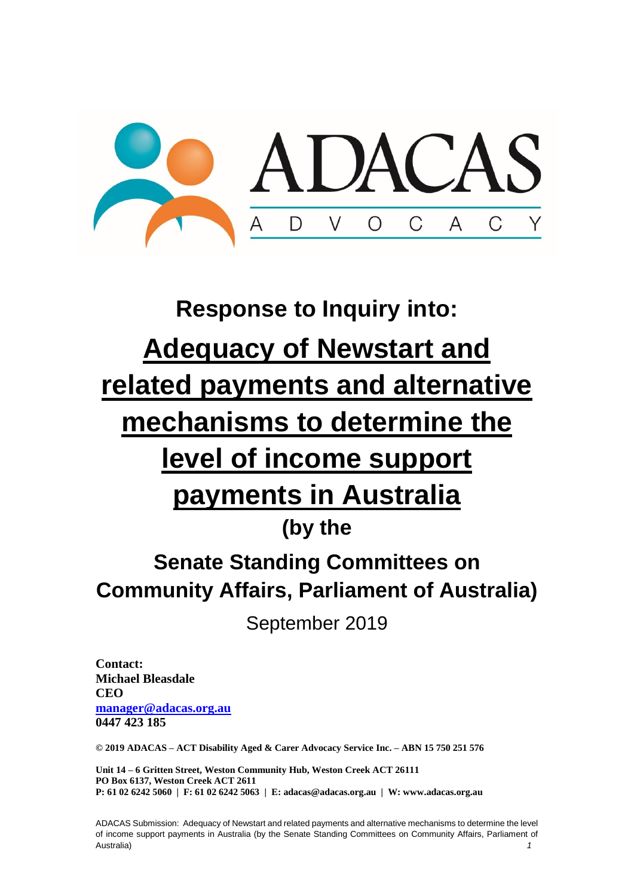

# **Response to Inquiry into: Adequacy of Newstart and related payments and alternative mechanisms to determine the level of income support payments in Australia (by the Senate Standing Committees on**

**Community Affairs, Parliament of Australia)** 

September 2019

**Contact: Michael Bleasdale CEO [manager@adacas.org.au](mailto:manager@adacas.org.au) 0447 423 185**

**© 2019 ADACAS – ACT Disability Aged & Carer Advocacy Service Inc. – ABN 15 750 251 576**

**Unit 14 – 6 Gritten Street, Weston Community Hub, Weston Creek ACT 26111 PO Box 6137, Weston Creek ACT 2611 P: 61 02 6242 5060 | F: 61 02 6242 5063 | E: adacas@adacas.org.au | W: www.adacas.org.au**

ADACAS Submission: Adequacy of Newstart and related payments and alternative mechanisms to determine the level of income support payments in Australia (by the Senate Standing Committees on Community Affairs, Parliament of Australia) *1*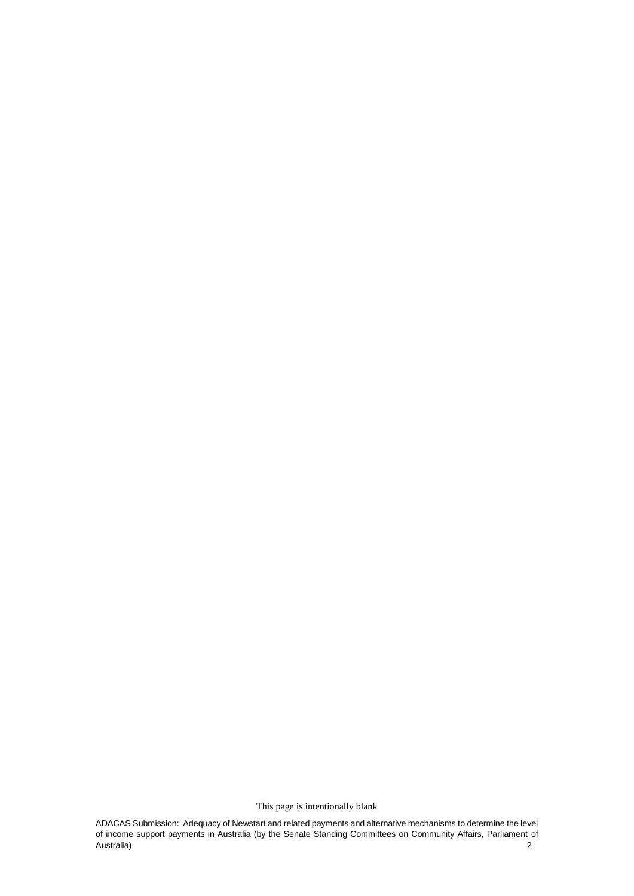This page is intentionally blank

ADACAS Submission: Adequacy of Newstart and related payments and alternative mechanisms to determine the level of income support payments in Australia (by the Senate Standing Committees on Community Affairs, Parliament of Australia) 2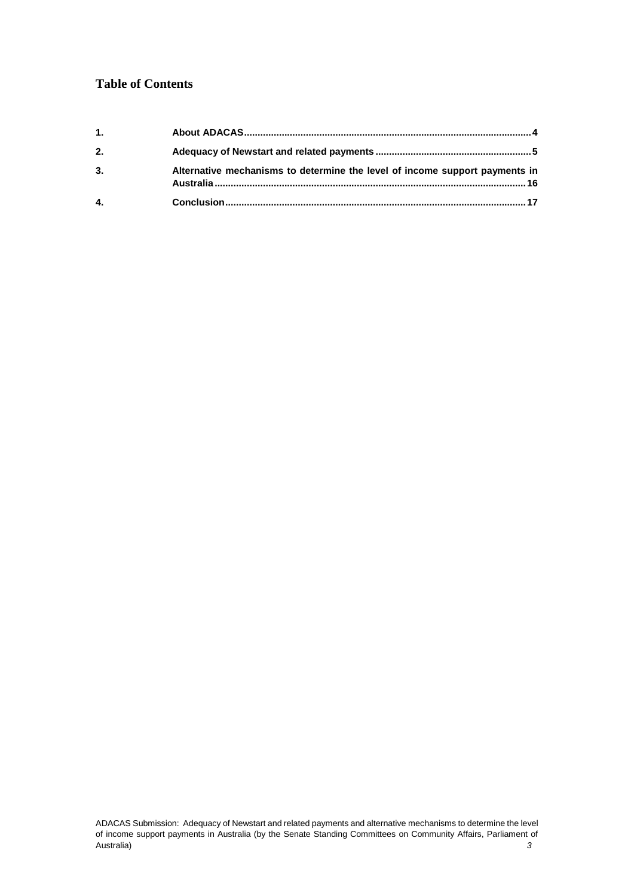#### **Table of Contents**

| $\mathbf{1}$ . |                                                                             |  |
|----------------|-----------------------------------------------------------------------------|--|
| 2.             |                                                                             |  |
| 3.             | Alternative mechanisms to determine the level of income support payments in |  |
| 4.             |                                                                             |  |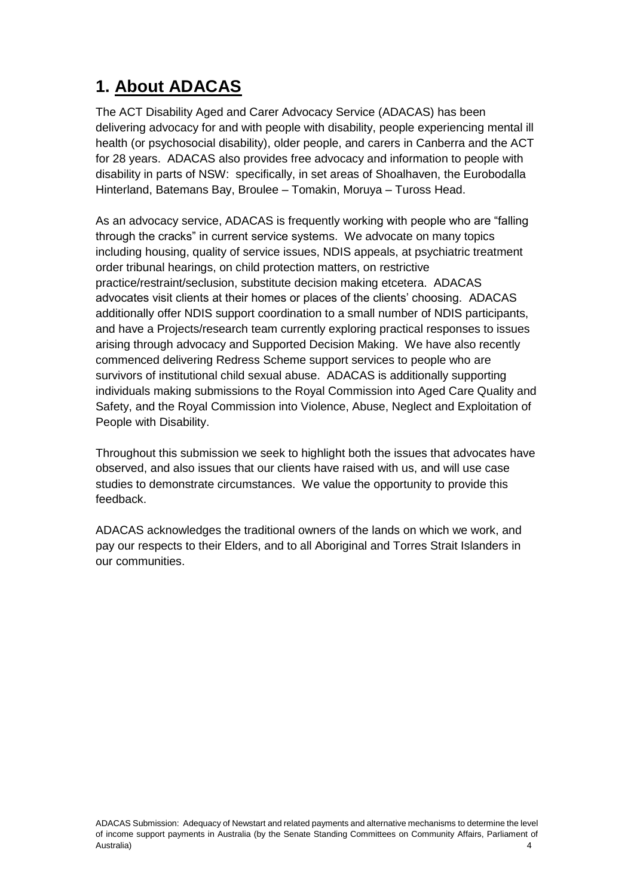# <span id="page-3-0"></span>**1. About ADACAS**

The ACT Disability Aged and Carer Advocacy Service (ADACAS) has been delivering advocacy for and with people with disability, people experiencing mental ill health (or psychosocial disability), older people, and carers in Canberra and the ACT for 28 years. ADACAS also provides free advocacy and information to people with disability in parts of NSW: specifically, in set areas of Shoalhaven, the Eurobodalla Hinterland, Batemans Bay, Broulee – Tomakin, Moruya – Tuross Head.

As an advocacy service, ADACAS is frequently working with people who are "falling through the cracks" in current service systems. We advocate on many topics including housing, quality of service issues, NDIS appeals, at psychiatric treatment order tribunal hearings, on child protection matters, on restrictive practice/restraint/seclusion, substitute decision making etcetera. ADACAS advocates visit clients at their homes or places of the clients' choosing. ADACAS additionally offer NDIS support coordination to a small number of NDIS participants, and have a Projects/research team currently exploring practical responses to issues arising through advocacy and Supported Decision Making. We have also recently commenced delivering Redress Scheme support services to people who are survivors of institutional child sexual abuse. ADACAS is additionally supporting individuals making submissions to the Royal Commission into Aged Care Quality and Safety, and the Royal Commission into Violence, Abuse, Neglect and Exploitation of People with Disability.

Throughout this submission we seek to highlight both the issues that advocates have observed, and also issues that our clients have raised with us, and will use case studies to demonstrate circumstances. We value the opportunity to provide this feedback.

ADACAS acknowledges the traditional owners of the lands on which we work, and pay our respects to their Elders, and to all Aboriginal and Torres Strait Islanders in our communities.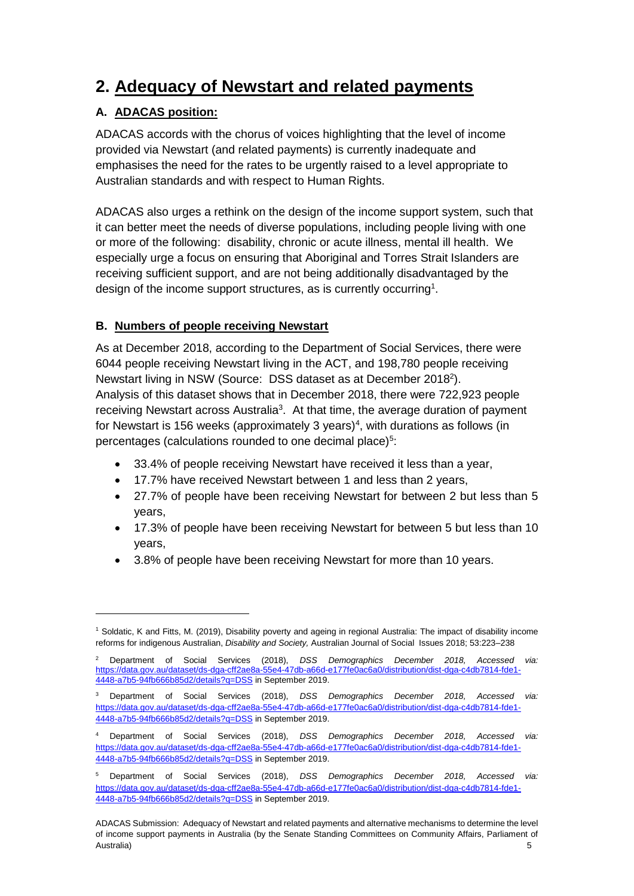### <span id="page-4-0"></span>**2. Adequacy of Newstart and related payments**

#### **A. ADACAS position:**

 $\overline{a}$ 

ADACAS accords with the chorus of voices highlighting that the level of income provided via Newstart (and related payments) is currently inadequate and emphasises the need for the rates to be urgently raised to a level appropriate to Australian standards and with respect to Human Rights.

ADACAS also urges a rethink on the design of the income support system, such that it can better meet the needs of diverse populations, including people living with one or more of the following: disability, chronic or acute illness, mental ill health. We especially urge a focus on ensuring that Aboriginal and Torres Strait Islanders are receiving sufficient support, and are not being additionally disadvantaged by the design of the income support structures, as is currently occurring<sup>1</sup>.

#### **B. Numbers of people receiving Newstart**

As at December 2018, according to the Department of Social Services, there were 6044 people receiving Newstart living in the ACT, and 198,780 people receiving Newstart living in NSW (Source: DSS dataset as at December 2018<sup>2</sup>). Analysis of this dataset shows that in December 2018, there were 722,923 people receiving Newstart across Australia<sup>3</sup>. At that time, the average duration of payment for Newstart is 156 weeks (approximately 3 years)<sup>4</sup>, with durations as follows (in percentages (calculations rounded to one decimal place)<sup>5</sup>:

- 33.4% of people receiving Newstart have received it less than a year,
- 17.7% have received Newstart between 1 and less than 2 years,
- 27.7% of people have been receiving Newstart for between 2 but less than 5 years,
- 17.3% of people have been receiving Newstart for between 5 but less than 10 years,
- 3.8% of people have been receiving Newstart for more than 10 years.

<sup>1</sup> Soldatic, K and Fitts, M. (2019), Disability poverty and ageing in regional Australia: The impact of disability income reforms for indigenous Australian, *Disability and Society,* Australian Journal of Social Issues 2018; 53:223–238

<sup>2</sup> Department of Social Services (2018), *DSS Demographics December 2018, Accessed via:*  [https://data.gov.au/dataset/ds-dga-cff2ae8a-55e4-47db-a66d-e177fe0ac6a0/distribution/dist-dga-c4db7814-fde1-](https://data.gov.au/dataset/ds-dga-cff2ae8a-55e4-47db-a66d-e177fe0ac6a0/distribution/dist-dga-c4db7814-fde1-4448-a7b5-94fb666b85d2/details?q=DSS) [4448-a7b5-94fb666b85d2/details?q=DSS](https://data.gov.au/dataset/ds-dga-cff2ae8a-55e4-47db-a66d-e177fe0ac6a0/distribution/dist-dga-c4db7814-fde1-4448-a7b5-94fb666b85d2/details?q=DSS) in September 2019.

<sup>3</sup> Department of Social Services (2018), *DSS Demographics December 2018, Accessed via:*  [https://data.gov.au/dataset/ds-dga-cff2ae8a-55e4-47db-a66d-e177fe0ac6a0/distribution/dist-dga-c4db7814-fde1-](https://data.gov.au/dataset/ds-dga-cff2ae8a-55e4-47db-a66d-e177fe0ac6a0/distribution/dist-dga-c4db7814-fde1-4448-a7b5-94fb666b85d2/details?q=DSS) [4448-a7b5-94fb666b85d2/details?q=DSS](https://data.gov.au/dataset/ds-dga-cff2ae8a-55e4-47db-a66d-e177fe0ac6a0/distribution/dist-dga-c4db7814-fde1-4448-a7b5-94fb666b85d2/details?q=DSS) in September 2019.

<sup>4</sup> Department of Social Services (2018), *DSS Demographics December 2018, Accessed via:*  [https://data.gov.au/dataset/ds-dga-cff2ae8a-55e4-47db-a66d-e177fe0ac6a0/distribution/dist-dga-c4db7814-fde1-](https://data.gov.au/dataset/ds-dga-cff2ae8a-55e4-47db-a66d-e177fe0ac6a0/distribution/dist-dga-c4db7814-fde1-4448-a7b5-94fb666b85d2/details?q=DSS) [4448-a7b5-94fb666b85d2/details?q=DSS](https://data.gov.au/dataset/ds-dga-cff2ae8a-55e4-47db-a66d-e177fe0ac6a0/distribution/dist-dga-c4db7814-fde1-4448-a7b5-94fb666b85d2/details?q=DSS) in September 2019.

<sup>5</sup> Department of Social Services (2018), *DSS Demographics December 2018, Accessed via:*  [https://data.gov.au/dataset/ds-dga-cff2ae8a-55e4-47db-a66d-e177fe0ac6a0/distribution/dist-dga-c4db7814-fde1-](https://data.gov.au/dataset/ds-dga-cff2ae8a-55e4-47db-a66d-e177fe0ac6a0/distribution/dist-dga-c4db7814-fde1-4448-a7b5-94fb666b85d2/details?q=DSS) [4448-a7b5-94fb666b85d2/details?q=DSS](https://data.gov.au/dataset/ds-dga-cff2ae8a-55e4-47db-a66d-e177fe0ac6a0/distribution/dist-dga-c4db7814-fde1-4448-a7b5-94fb666b85d2/details?q=DSS) in September 2019.

ADACAS Submission: Adequacy of Newstart and related payments and alternative mechanisms to determine the level of income support payments in Australia (by the Senate Standing Committees on Community Affairs, Parliament of Australia) 5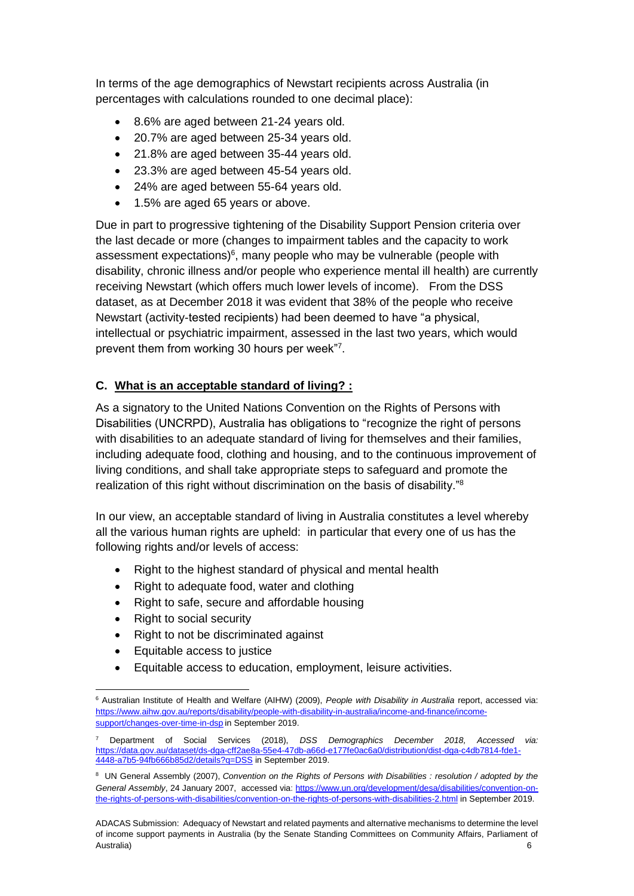In terms of the age demographics of Newstart recipients across Australia (in percentages with calculations rounded to one decimal place):

- 8.6% are aged between 21-24 years old.
- 20.7% are aged between 25-34 years old.
- 21.8% are aged between 35-44 years old.
- 23.3% are aged between 45-54 years old.
- 24% are aged between 55-64 years old.
- 1.5% are aged 65 years or above.

Due in part to progressive tightening of the Disability Support Pension criteria over the last decade or more (changes to impairment tables and the capacity to work assessment expectations)<sup>6</sup>, many people who may be vulnerable (people with disability, chronic illness and/or people who experience mental ill health) are currently receiving Newstart (which offers much lower levels of income). From the DSS dataset, as at December 2018 it was evident that 38% of the people who receive Newstart (activity-tested recipients) had been deemed to have "a physical, intellectual or psychiatric impairment, assessed in the last two years, which would prevent them from working 30 hours per week"7.

#### **C. What is an acceptable standard of living? :**

As a signatory to the United Nations Convention on the Rights of Persons with Disabilities (UNCRPD), Australia has obligations to "recognize the right of persons with disabilities to an adequate standard of living for themselves and their families, including adequate food, clothing and housing, and to the continuous improvement of living conditions, and shall take appropriate steps to safeguard and promote the realization of this right without discrimination on the basis of disability."<sup>8</sup>

In our view, an acceptable standard of living in Australia constitutes a level whereby all the various human rights are upheld: in particular that every one of us has the following rights and/or levels of access:

- Right to the highest standard of physical and mental health
- Right to adequate food, water and clothing
- Right to safe, secure and affordable housing
- Right to social security
- Right to not be discriminated against
- Equitable access to justice
- Equitable access to education, employment, leisure activities.

 $\overline{a}$ <sup>6</sup> Australian Institute of Health and Welfare (AIHW) (2009), *People with Disability in Australia* report, accessed via: [https://www.aihw.gov.au/reports/disability/people-with-disability-in-australia/income-and-finance/income](https://www.aihw.gov.au/reports/disability/people-with-disability-in-australia/income-and-finance/income-support/changes-over-time-in-dsp)[support/changes-over-time-in-dsp](https://www.aihw.gov.au/reports/disability/people-with-disability-in-australia/income-and-finance/income-support/changes-over-time-in-dsp) in September 2019.

<sup>7</sup> Department of Social Services (2018), *DSS Demographics December 2018, Accessed via:*  [https://data.gov.au/dataset/ds-dga-cff2ae8a-55e4-47db-a66d-e177fe0ac6a0/distribution/dist-dga-c4db7814-fde1-](https://data.gov.au/dataset/ds-dga-cff2ae8a-55e4-47db-a66d-e177fe0ac6a0/distribution/dist-dga-c4db7814-fde1-4448-a7b5-94fb666b85d2/details?q=DSS) [4448-a7b5-94fb666b85d2/details?q=DSS](https://data.gov.au/dataset/ds-dga-cff2ae8a-55e4-47db-a66d-e177fe0ac6a0/distribution/dist-dga-c4db7814-fde1-4448-a7b5-94fb666b85d2/details?q=DSS) in September 2019.

<sup>8</sup> UN General Assembly (2007), *Convention on the Rights of Persons with Disabilities : resolution / adopted by the General Assembly*, 24 January 2007, accessed via: [https://www.un.org/development/desa/disabilities/convention-on](https://www.un.org/development/desa/disabilities/convention-on-the-rights-of-persons-with-disabilities/convention-on-the-rights-of-persons-with-disabilities-2.html)[the-rights-of-persons-with-disabilities/convention-on-the-rights-of-persons-with-disabilities-2.html](https://www.un.org/development/desa/disabilities/convention-on-the-rights-of-persons-with-disabilities/convention-on-the-rights-of-persons-with-disabilities-2.html) in September 2019.

ADACAS Submission: Adequacy of Newstart and related payments and alternative mechanisms to determine the level of income support payments in Australia (by the Senate Standing Committees on Community Affairs, Parliament of Australia) 6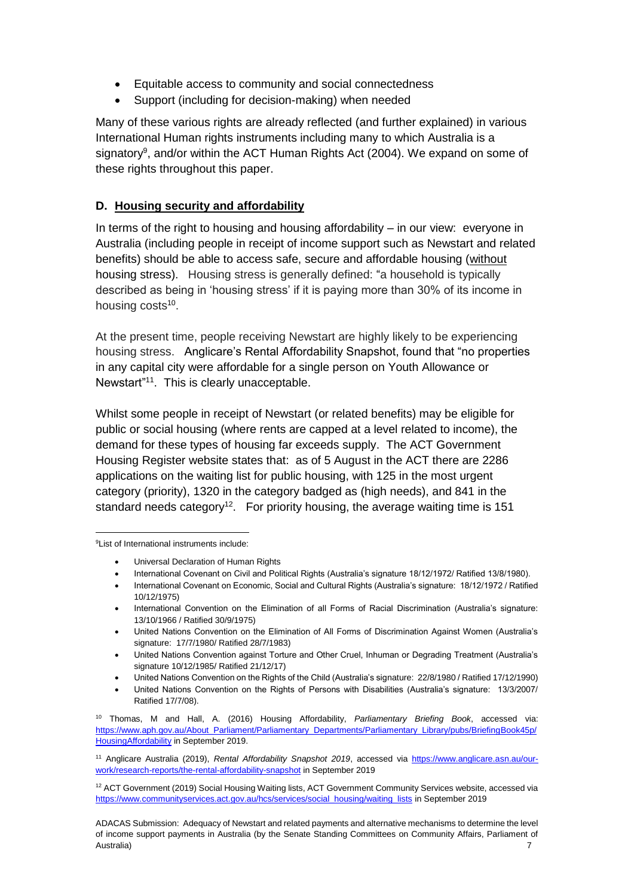- Equitable access to community and social connectedness
- Support (including for decision-making) when needed

Many of these various rights are already reflected (and further explained) in various International Human rights instruments including many to which Australia is a signatory<sup>9</sup>, and/or within the ACT Human Rights Act (2004). We expand on some of these rights throughout this paper.

#### **D. Housing security and affordability**

In terms of the right to housing and housing affordability – in our view: everyone in Australia (including people in receipt of income support such as Newstart and related benefits) should be able to access safe, secure and affordable housing (without housing stress). Housing stress is generally defined: "a household is typically described as being in 'housing stress' if it is paying more than 30% of its income in housing costs<sup>10</sup>.

At the present time, people receiving Newstart are highly likely to be experiencing housing stress. Anglicare's Rental Affordability Snapshot, found that "no properties in any capital city were affordable for a single person on Youth Allowance or Newstart"<sup>11</sup>. This is clearly unacceptable.

Whilst some people in receipt of Newstart (or related benefits) may be eligible for public or social housing (where rents are capped at a level related to income), the demand for these types of housing far exceeds supply. The ACT Government Housing Register website states that: as of 5 August in the ACT there are 2286 applications on the waiting list for public housing, with 125 in the most urgent category (priority), 1320 in the category badged as (high needs), and 841 in the standard needs category<sup>12</sup>. For priority housing, the average waiting time is 151

- Universal Declaration of Human Rights
- International Covenant on Civil and Political Rights (Australia's signature 18/12/1972/ Ratified 13/8/1980).
- International Covenant on Economic, Social and Cultural Rights (Australia's signature: 18/12/1972 / Ratified 10/12/1975)
- International Convention on the Elimination of all Forms of Racial Discrimination (Australia's signature: 13/10/1966 / Ratified 30/9/1975)
- United Nations Convention on the Elimination of All Forms of Discrimination Against Women (Australia's signature: 17/7/1980/ Ratified 28/7/1983)
- United Nations Convention against Torture and Other Cruel, Inhuman or Degrading Treatment (Australia's signature 10/12/1985/ Ratified 21/12/17)
- United Nations Convention on the Rights of the Child (Australia's signature: 22/8/1980 / Ratified 17/12/1990)
- United Nations Convention on the Rights of Persons with Disabilities (Australia's signature: 13/3/2007/ Ratified 17/7/08).

<sup>9</sup>List of International instruments include:

<sup>10</sup> Thomas, M and Hall, A. (2016) Housing Affordability, *Parliamentary Briefing Book*, accessed via: [https://www.aph.gov.au/About\\_Parliament/Parliamentary\\_Departments/Parliamentary\\_Library/pubs/BriefingBook45p/](https://www.aph.gov.au/About_Parliament/Parliamentary_Departments/Parliamentary_Library/pubs/BriefingBook45p/HousingAffordability) [HousingAffordability](https://www.aph.gov.au/About_Parliament/Parliamentary_Departments/Parliamentary_Library/pubs/BriefingBook45p/HousingAffordability) in September 2019.

<sup>11</sup> Anglicare Australia (2019), *Rental Affordability Snapshot 2019*, accessed via [https://www.anglicare.asn.au/our](https://www.anglicare.asn.au/our-work/research-reports/the-rental-affordability-snapshot)[work/research-reports/the-rental-affordability-snapshot](https://www.anglicare.asn.au/our-work/research-reports/the-rental-affordability-snapshot) in September 2019

<sup>12</sup> ACT Government (2019) Social Housing Waiting lists, ACT Government Community Services website, accessed via [https://www.communityservices.act.gov.au/hcs/services/social\\_housing/waiting\\_lists](https://www.communityservices.act.gov.au/hcs/services/social_housing/waiting_lists) in September 2019

ADACAS Submission: Adequacy of Newstart and related payments and alternative mechanisms to determine the level of income support payments in Australia (by the Senate Standing Committees on Community Affairs, Parliament of Australia) 7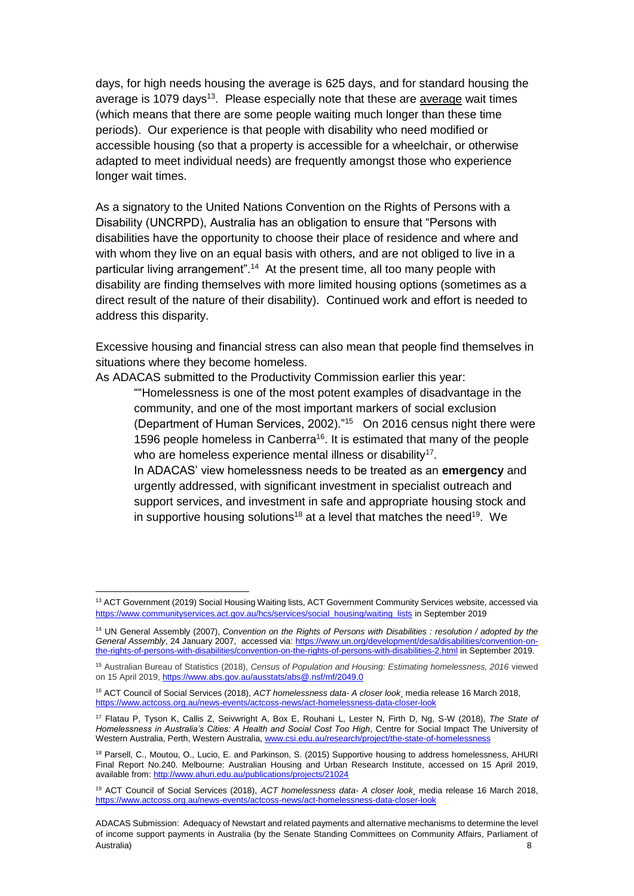days, for high needs housing the average is 625 days, and for standard housing the average is 1079 days<sup>13</sup>. Please especially note that these are average wait times (which means that there are some people waiting much longer than these time periods). Our experience is that people with disability who need modified or accessible housing (so that a property is accessible for a wheelchair, or otherwise adapted to meet individual needs) are frequently amongst those who experience longer wait times.

As a signatory to the United Nations Convention on the Rights of Persons with a Disability (UNCRPD), Australia has an obligation to ensure that "Persons with disabilities have the opportunity to choose their place of residence and where and with whom they live on an equal basis with others, and are not obliged to live in a particular living arrangement".<sup>14</sup> At the present time, all too many people with disability are finding themselves with more limited housing options (sometimes as a direct result of the nature of their disability). Continued work and effort is needed to address this disparity.

Excessive housing and financial stress can also mean that people find themselves in situations where they become homeless.

As ADACAS submitted to the Productivity Commission earlier this year:

""Homelessness is one of the most potent examples of disadvantage in the community, and one of the most important markers of social exclusion (Department of Human Services, 2002)."<sup>15</sup> On 2016 census night there were 1596 people homeless in Canberra<sup>16</sup>. It is estimated that many of the people who are homeless experience mental illness or disability<sup>17</sup>.

In ADACAS' view homelessness needs to be treated as an **emergency** and urgently addressed, with significant investment in specialist outreach and support services, and investment in safe and appropriate housing stock and in supportive housing solutions<sup>18</sup> at a level that matches the need<sup>19</sup>. We

<sup>13</sup> ACT Government (2019) Social Housing Waiting lists, ACT Government Community Services website, accessed via [https://www.communityservices.act.gov.au/hcs/services/social\\_housing/waiting\\_lists](https://www.communityservices.act.gov.au/hcs/services/social_housing/waiting_lists) in September 2019

<sup>14</sup> UN General Assembly (2007), *Convention on the Rights of Persons with Disabilities : resolution / adopted by the General Assembly*, 24 January 2007, accessed via: [https://www.un.org/development/desa/disabilities/convention-on](https://www.un.org/development/desa/disabilities/convention-on-the-rights-of-persons-with-disabilities/convention-on-the-rights-of-persons-with-disabilities-2.html)[the-rights-of-persons-with-disabilities/convention-on-the-rights-of-persons-with-disabilities-2.html](https://www.un.org/development/desa/disabilities/convention-on-the-rights-of-persons-with-disabilities/convention-on-the-rights-of-persons-with-disabilities-2.html) in September 2019.

<sup>15</sup> Australian Bureau of Statistics (2018), *Census of Population and Housing: Estimating homelessness, 2016* viewed on 15 April 2019[, https://www.abs.gov.au/ausstats/abs@.nsf/mf/2049.0](https://www.abs.gov.au/ausstats/abs@.nsf/mf/2049.0)

<sup>16</sup> ACT Council of Social Services (2018), *ACT homelessness data- A closer look¸* media release 16 March 2018, <https://www.actcoss.org.au/news-events/actcoss-news/act-homelessness-data-closer-look>

<sup>17</sup> Flatau P, Tyson K, Callis Z, Seivwright A, Box E, Rouhani L, Lester N, Firth D, Ng, S-W (2018), *The State of Homelessness in Australia's Cities: A Health and Social Cost Too High*, Centre for Social Impact The University of Western Australia, Perth, Western Australia[, www.csi.edu.au/research/project/the-state-of-homelessness](http://www.csi.edu.au/research/project/the-state-of-homelessness)

<sup>&</sup>lt;sup>18</sup> Parsell, C., Moutou, O., Lucio, E. and Parkinson, S. (2015) Supportive housing to address homelessness, AHURI Final Report No.240. Melbourne: Australian Housing and Urban Research Institute, accessed on 15 April 2019, available from[: http://www.ahuri.edu.au/publications/projects/21024](http://www.ahuri.edu.au/publications/projects/21024)

<sup>19</sup> ACT Council of Social Services (2018), *ACT homelessness data- A closer look¸* media release 16 March 2018, <https://www.actcoss.org.au/news-events/actcoss-news/act-homelessness-data-closer-look>

ADACAS Submission: Adequacy of Newstart and related payments and alternative mechanisms to determine the level of income support payments in Australia (by the Senate Standing Committees on Community Affairs, Parliament of Australia) 8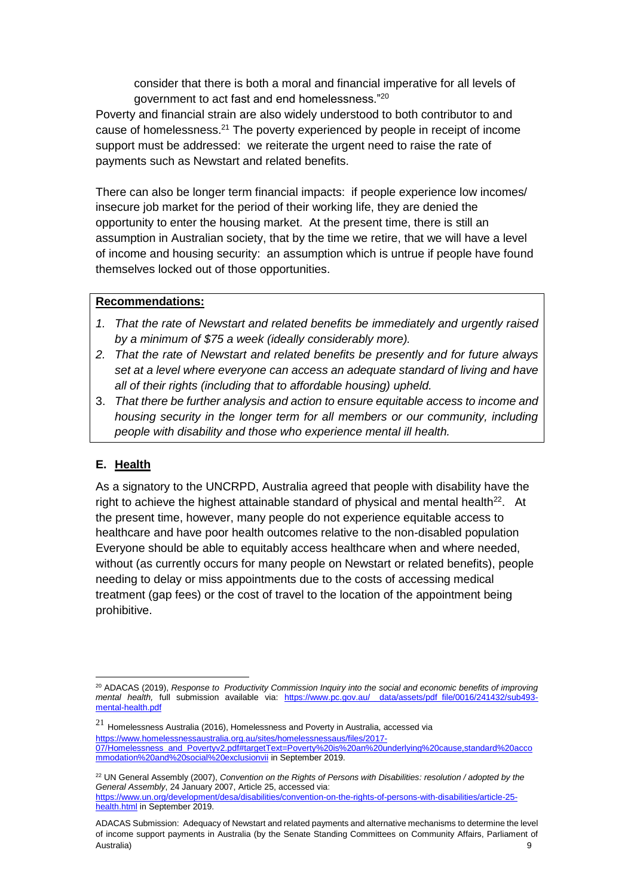consider that there is both a moral and financial imperative for all levels of government to act fast and end homelessness."<sup>20</sup>

Poverty and financial strain are also widely understood to both contributor to and cause of homelessness.<sup>21</sup> The poverty experienced by people in receipt of income support must be addressed: we reiterate the urgent need to raise the rate of payments such as Newstart and related benefits.

There can also be longer term financial impacts: if people experience low incomes/ insecure job market for the period of their working life, they are denied the opportunity to enter the housing market. At the present time, there is still an assumption in Australian society, that by the time we retire, that we will have a level of income and housing security: an assumption which is untrue if people have found themselves locked out of those opportunities.

#### **Recommendations:**

- *1. That the rate of Newstart and related benefits be immediately and urgently raised by a minimum of \$75 a week (ideally considerably more).*
- *2. That the rate of Newstart and related benefits be presently and for future always set at a level where everyone can access an adequate standard of living and have all of their rights (including that to affordable housing) upheld.*
- 3. *That there be further analysis and action to ensure equitable access to income and housing security in the longer term for all members or our community, including people with disability and those who experience mental ill health.*

#### **E. Health**

 $\overline{a}$ 

As a signatory to the UNCRPD, Australia agreed that people with disability have the right to achieve the highest attainable standard of physical and mental health $^{22}$ . At the present time, however, many people do not experience equitable access to healthcare and have poor health outcomes relative to the non-disabled population Everyone should be able to equitably access healthcare when and where needed, without (as currently occurs for many people on Newstart or related benefits), people needing to delay or miss appointments due to the costs of accessing medical treatment (gap fees) or the cost of travel to the location of the appointment being prohibitive.

<sup>20</sup> ADACAS (2019), *Response to Productivity Commission Inquiry into the social and economic benefits of improving mental health,* full submission available via: [https://www.pc.gov.au/\\_\\_data/assets/pdf\\_file/0016/241432/sub493](https://www.pc.gov.au/__data/assets/pdf_file/0016/241432/sub493-mental-health.pdf) [mental-health.pdf](https://www.pc.gov.au/__data/assets/pdf_file/0016/241432/sub493-mental-health.pdf)

 $21$  Homelessness Australia (2016), Homelessness and Poverty in Australia, accessed via https://www.homelessnessaustralia.org.au/sites/homelessnessaus/files/2017- 07/Homelessness\_and\_Povertyv2.pdf#targetText=Poverty%20is%20an%20underlying%20cause,standard%20acco mmodation%20and%20social%20exclusionvii in September 2019.

<sup>22</sup> UN General Assembly (2007), *Convention on the Rights of Persons with Disabilities: resolution / adopted by the General Assembly*, 24 January 2007, Article 25, accessed via: [https://www.un.org/development/desa/disabilities/convention-on-the-rights-of-persons-with-disabilities/article-25](https://www.un.org/development/desa/disabilities/convention-on-the-rights-of-persons-with-disabilities/article-25-health.html) [health.html](https://www.un.org/development/desa/disabilities/convention-on-the-rights-of-persons-with-disabilities/article-25-health.html) in September 2019.

ADACAS Submission: Adequacy of Newstart and related payments and alternative mechanisms to determine the level of income support payments in Australia (by the Senate Standing Committees on Community Affairs, Parliament of Australia) 9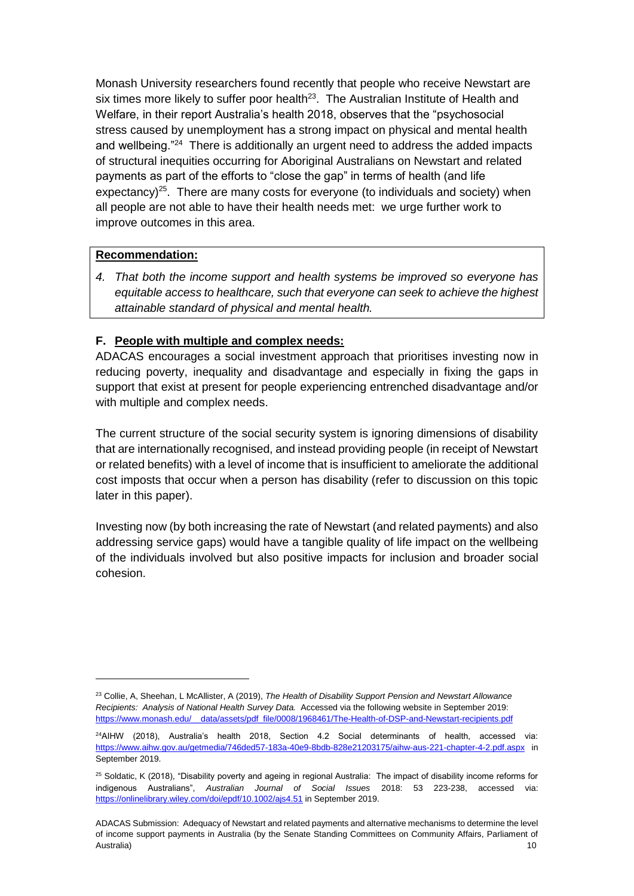Monash University researchers found recently that people who receive Newstart are six times more likely to suffer poor health $^{23}$ . The Australian Institute of Health and Welfare, in their report Australia's health 2018, observes that the "psychosocial stress caused by unemployment has a strong impact on physical and mental health and wellbeing."<sup>24</sup> There is additionally an urgent need to address the added impacts of structural inequities occurring for Aboriginal Australians on Newstart and related payments as part of the efforts to "close the gap" in terms of health (and life expectancy)<sup>25</sup>. There are many costs for everyone (to individuals and society) when all people are not able to have their health needs met: we urge further work to improve outcomes in this area.

#### **Recommendation:**

 $\overline{a}$ 

*4. That both the income support and health systems be improved so everyone has equitable access to healthcare, such that everyone can seek to achieve the highest attainable standard of physical and mental health.* 

#### **F. People with multiple and complex needs:**

ADACAS encourages a social investment approach that prioritises investing now in reducing poverty, inequality and disadvantage and especially in fixing the gaps in support that exist at present for people experiencing entrenched disadvantage and/or with multiple and complex needs.

The current structure of the social security system is ignoring dimensions of disability that are internationally recognised, and instead providing people (in receipt of Newstart or related benefits) with a level of income that is insufficient to ameliorate the additional cost imposts that occur when a person has disability (refer to discussion on this topic later in this paper).

Investing now (by both increasing the rate of Newstart (and related payments) and also addressing service gaps) would have a tangible quality of life impact on the wellbeing of the individuals involved but also positive impacts for inclusion and broader social cohesion.

<sup>23</sup> Collie, A, Sheehan, L McAllister, A (2019), *The Health of Disability Support Pension and Newstart Allowance Recipients: Analysis of National Health Survey Data.* Accessed via the following website in September 2019: [https://www.monash.edu/\\_\\_data/assets/pdf\\_file/0008/1968461/The-Health-of-DSP-and-Newstart-recipients.pdf](https://www.monash.edu/__data/assets/pdf_file/0008/1968461/The-Health-of-DSP-and-Newstart-recipients.pdf)

<sup>24</sup>AIHW (2018), Australia's health 2018, Section 4.2 Social determinants of health, accessed via: <https://www.aihw.gov.au/getmedia/746ded57-183a-40e9-8bdb-828e21203175/aihw-aus-221-chapter-4-2.pdf.aspx> in September 2019.

<sup>&</sup>lt;sup>25</sup> Soldatic, K (2018), "Disability poverty and ageing in regional Australia: The impact of disability income reforms for indigenous Australians", *Australian Journal of Social Issues* 2018: 53 223-238, accessed via: https://onlinelibrary.wiley.com/doi/epdf/10.1002/ajs4.51 in September 2019.

ADACAS Submission: Adequacy of Newstart and related payments and alternative mechanisms to determine the level of income support payments in Australia (by the Senate Standing Committees on Community Affairs, Parliament of Australia) 10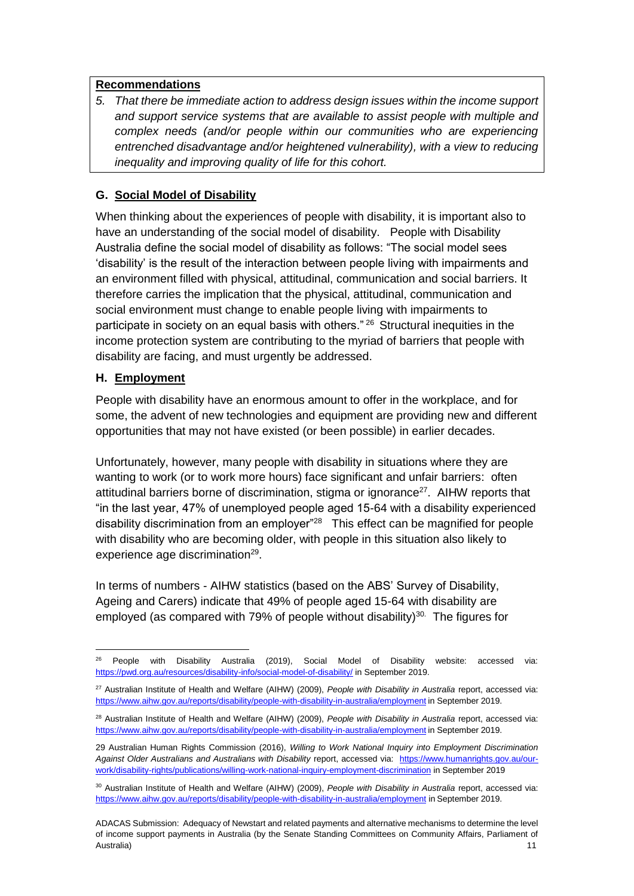#### **Recommendations**

*5. That there be immediate action to address design issues within the income support and support service systems that are available to assist people with multiple and complex needs (and/or people within our communities who are experiencing entrenched disadvantage and/or heightened vulnerability), with a view to reducing inequality and improving quality of life for this cohort.*

#### **G. Social Model of Disability**

When thinking about the experiences of people with disability, it is important also to have an understanding of the social model of disability. People with Disability Australia define the social model of disability as follows: "The social model sees 'disability' is the result of the interaction between people living with impairments and an environment filled with physical, attitudinal, communication and social barriers. It therefore carries the implication that the physical, attitudinal, communication and social environment must change to enable people living with impairments to participate in society on an equal basis with others." <sup>26</sup> Structural inequities in the income protection system are contributing to the myriad of barriers that people with disability are facing, and must urgently be addressed.

#### **H. Employment**

People with disability have an enormous amount to offer in the workplace, and for some, the advent of new technologies and equipment are providing new and different opportunities that may not have existed (or been possible) in earlier decades.

Unfortunately, however, many people with disability in situations where they are wanting to work (or to work more hours) face significant and unfair barriers: often attitudinal barriers borne of discrimination, stigma or ignorance<sup>27</sup>. AIHW reports that "in the last year, 47% of unemployed people aged 15-64 with a disability experienced disability discrimination from an employer"<sup>28</sup> This effect can be magnified for people with disability who are becoming older, with people in this situation also likely to experience age discrimination<sup>29</sup>.

In terms of numbers - AIHW statistics (based on the ABS' Survey of Disability, Ageing and Carers) indicate that 49% of people aged 15-64 with disability are employed (as compared with 79% of people without disability)<sup>30.</sup> The figures for

 $\overline{a}$ <sup>26</sup> People with Disability Australia (2019), Social Model of Disability website: accessed via: <https://pwd.org.au/resources/disability-info/social-model-of-disability/> in September 2019.

<sup>27</sup> Australian Institute of Health and Welfare (AIHW) (2009), *People with Disability in Australia* report, accessed via: <https://www.aihw.gov.au/reports/disability/people-with-disability-in-australia/employment> in September 2019.

<sup>28</sup> Australian Institute of Health and Welfare (AIHW) (2009), *People with Disability in Australia* report, accessed via: <https://www.aihw.gov.au/reports/disability/people-with-disability-in-australia/employment> in September 2019.

<sup>29</sup> Australian Human Rights Commission (2016), *Willing to Work National Inquiry into Employment Discrimination Against Older Australians and Australians with Disability* report, accessed via: [https://www.humanrights.gov.au/our](https://www.humanrights.gov.au/our-work/disability-rights/publications/willing-work-national-inquiry-employment-discrimination)[work/disability-rights/publications/willing-work-national-inquiry-employment-discrimination](https://www.humanrights.gov.au/our-work/disability-rights/publications/willing-work-national-inquiry-employment-discrimination) in September 2019

<sup>30</sup> Australian Institute of Health and Welfare (AIHW) (2009), *People with Disability in Australia* report, accessed via: <https://www.aihw.gov.au/reports/disability/people-with-disability-in-australia/employment> in September 2019.

ADACAS Submission: Adequacy of Newstart and related payments and alternative mechanisms to determine the level of income support payments in Australia (by the Senate Standing Committees on Community Affairs, Parliament of Australia) 11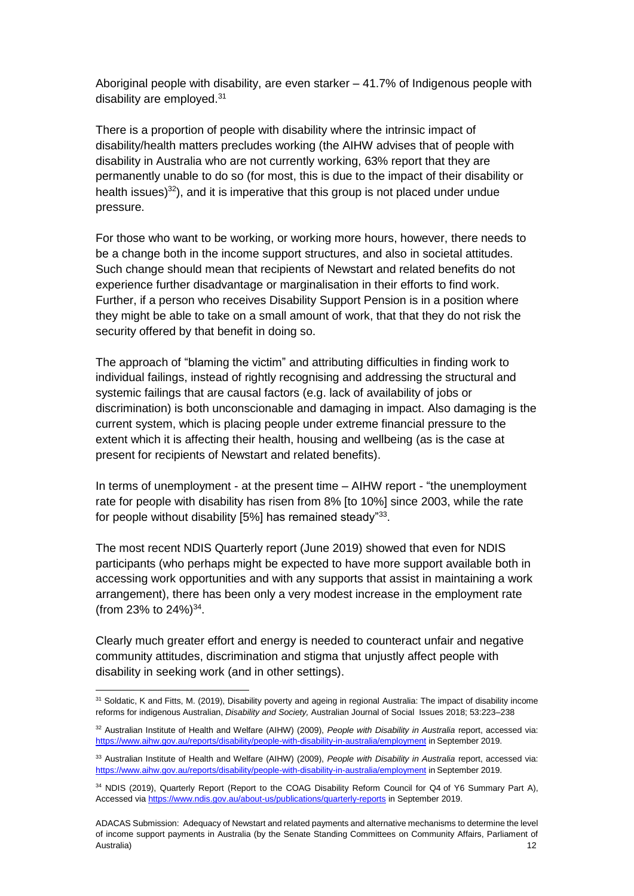Aboriginal people with disability, are even starker – 41.7% of Indigenous people with disability are employed.<sup>31</sup>

There is a proportion of people with disability where the intrinsic impact of disability/health matters precludes working (the AIHW advises that of people with disability in Australia who are not currently working, 63% report that they are permanently unable to do so (for most, this is due to the impact of their disability or health issues)<sup>32</sup>), and it is imperative that this group is not placed under undue pressure.

For those who want to be working, or working more hours, however, there needs to be a change both in the income support structures, and also in societal attitudes. Such change should mean that recipients of Newstart and related benefits do not experience further disadvantage or marginalisation in their efforts to find work. Further, if a person who receives Disability Support Pension is in a position where they might be able to take on a small amount of work, that that they do not risk the security offered by that benefit in doing so.

The approach of "blaming the victim" and attributing difficulties in finding work to individual failings, instead of rightly recognising and addressing the structural and systemic failings that are causal factors (e.g. lack of availability of jobs or discrimination) is both unconscionable and damaging in impact. Also damaging is the current system, which is placing people under extreme financial pressure to the extent which it is affecting their health, housing and wellbeing (as is the case at present for recipients of Newstart and related benefits).

In terms of unemployment - at the present time – AIHW report - "the unemployment rate for people with disability has risen from 8% [to 10%] since 2003, while the rate for people without disability [5%] has remained steady"<sup>33</sup>.

The most recent NDIS Quarterly report (June 2019) showed that even for NDIS participants (who perhaps might be expected to have more support available both in accessing work opportunities and with any supports that assist in maintaining a work arrangement), there has been only a very modest increase in the employment rate (from 23% to 24%) $^{34}$ .

Clearly much greater effort and energy is needed to counteract unfair and negative community attitudes, discrimination and stigma that unjustly affect people with disability in seeking work (and in other settings).

<sup>&</sup>lt;sup>31</sup> Soldatic, K and Fitts, M. (2019), Disability poverty and ageing in regional Australia: The impact of disability income reforms for indigenous Australian, *Disability and Society,* Australian Journal of Social Issues 2018; 53:223–238

<sup>32</sup> Australian Institute of Health and Welfare (AIHW) (2009), *People with Disability in Australia* report, accessed via: <https://www.aihw.gov.au/reports/disability/people-with-disability-in-australia/employment> in September 2019.

<sup>33</sup> Australian Institute of Health and Welfare (AIHW) (2009), *People with Disability in Australia* report, accessed via: <https://www.aihw.gov.au/reports/disability/people-with-disability-in-australia/employment> in September 2019.

<sup>&</sup>lt;sup>34</sup> NDIS (2019), Quarterly Report [\(Report to the COAG Disability Reform Council for Q4](https://www.ndis.gov.au/media/1612/download) of Y6 Summary Part A), Accessed vi[a https://www.ndis.gov.au/about-us/publications/quarterly-reports](https://www.ndis.gov.au/about-us/publications/quarterly-reports) in September 2019.

ADACAS Submission: Adequacy of Newstart and related payments and alternative mechanisms to determine the level of income support payments in Australia (by the Senate Standing Committees on Community Affairs, Parliament of Australia) 12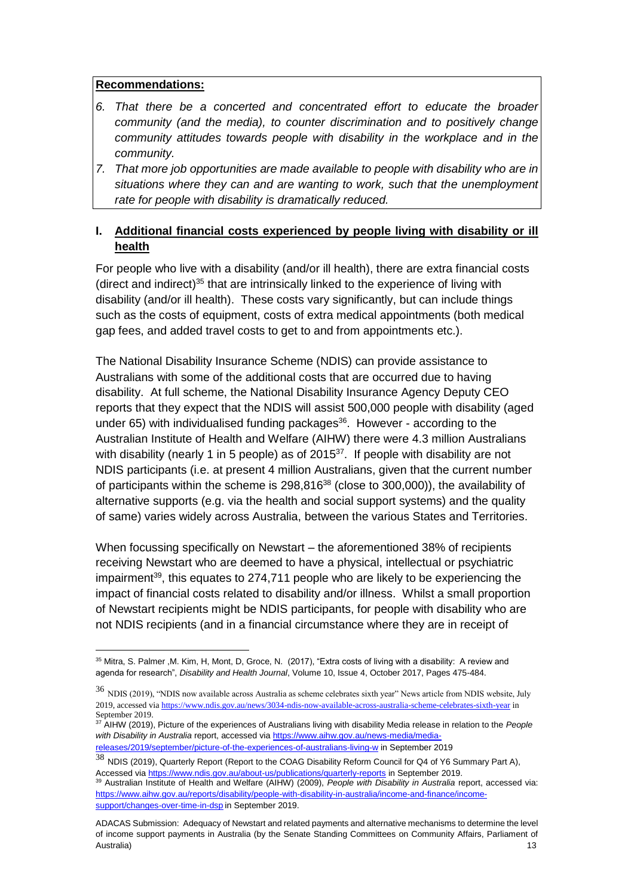#### **Recommendations:**

- *6. That there be a concerted and concentrated effort to educate the broader community (and the media), to counter discrimination and to positively change community attitudes towards people with disability in the workplace and in the community.*
- *7. That more job opportunities are made available to people with disability who are in situations where they can and are wanting to work, such that the unemployment rate for people with disability is dramatically reduced.*

#### **I. Additional financial costs experienced by people living with disability or ill health**

For people who live with a disability (and/or ill health), there are extra financial costs (direct and indirect)<sup>35</sup> that are intrinsically linked to the experience of living with disability (and/or ill health). These costs vary significantly, but can include things such as the costs of equipment, costs of extra medical appointments (both medical gap fees, and added travel costs to get to and from appointments etc.).

The National Disability Insurance Scheme (NDIS) can provide assistance to Australians with some of the additional costs that are occurred due to having disability. At full scheme, the National Disability Insurance Agency Deputy CEO reports that they expect that the NDIS will assist 500,000 people with disability (aged under 65) with individualised funding packages<sup>36</sup>. However - according to the Australian Institute of Health and Welfare (AIHW) there were 4.3 million Australians with disability (nearly 1 in 5 people) as of 2015<sup>37</sup>. If people with disability are not NDIS participants (i.e. at present 4 million Australians, given that the current number of participants within the scheme is 298,816<sup>38</sup> (close to 300,000)), the availability of alternative supports (e.g. via the health and social support systems) and the quality of same) varies widely across Australia, between the various States and Territories.

When focussing specifically on Newstart – the aforementioned 38% of recipients receiving Newstart who are deemed to have a physical, intellectual or psychiatric impairment<sup>39</sup>, this equates to 274,711 people who are likely to be experiencing the impact of financial costs related to disability and/or illness. Whilst a small proportion of Newstart recipients might be NDIS participants, for people with disability who are not NDIS recipients (and in a financial circumstance where they are in receipt of

[releases/2019/september/picture-of-the-experiences-of-australians-living-w](https://www.aihw.gov.au/news-media/media-releases/2019/september/picture-of-the-experiences-of-australians-living-w) in September 2019

[support/changes-over-time-in-dsp](https://www.aihw.gov.au/reports/disability/people-with-disability-in-australia/income-and-finance/income-support/changes-over-time-in-dsp) in September 2019.

 $\overline{a}$ <sup>35</sup> Mitra, S. Palmer ,M. Kim, H, Mont, D, Groce, N. (2017), "Extra costs of living with a disability: A review and agenda for research", *Disability and Health Journal*, Volume 10, Issue 4, October 2017, Pages 475-484.

<sup>36</sup> NDIS (2019), "NDIS now available across Australia as scheme celebrates sixth year" News article from NDIS website, July 2019, accessed vi[a https://www.ndis.gov.au/news/3034-ndis-now-available-across-australia-scheme-celebrates-sixth-year](https://www.ndis.gov.au/news/3034-ndis-now-available-across-australia-scheme-celebrates-sixth-year) in September 2019.

<sup>37</sup> AIHW (2019), Picture of the experiences of Australians living with disability Media release in relation to the *People with Disability in Australia* report, accessed vi[a https://www.aihw.gov.au/news-media/media-](https://www.aihw.gov.au/news-media/media-releases/2019/september/picture-of-the-experiences-of-australians-living-w)

<sup>38</sup> NDIS (2019), Quarterly Report [\(Report to the COAG Disability Reform Council for Q4](https://www.ndis.gov.au/media/1612/download) of Y6 Summary Part A), Accessed vi[a https://www.ndis.gov.au/about-us/publications/quarterly-reports](https://www.ndis.gov.au/about-us/publications/quarterly-reports) in September 2019. <sup>39</sup> Australian Institute of Health and Welfare (AIHW) (2009), *People with Disability in Australia* report, accessed via: [https://www.aihw.gov.au/reports/disability/people-with-disability-in-australia/income-and-finance/income-](https://www.aihw.gov.au/reports/disability/people-with-disability-in-australia/income-and-finance/income-support/changes-over-time-in-dsp)

ADACAS Submission: Adequacy of Newstart and related payments and alternative mechanisms to determine the level of income support payments in Australia (by the Senate Standing Committees on Community Affairs, Parliament of Australia) 13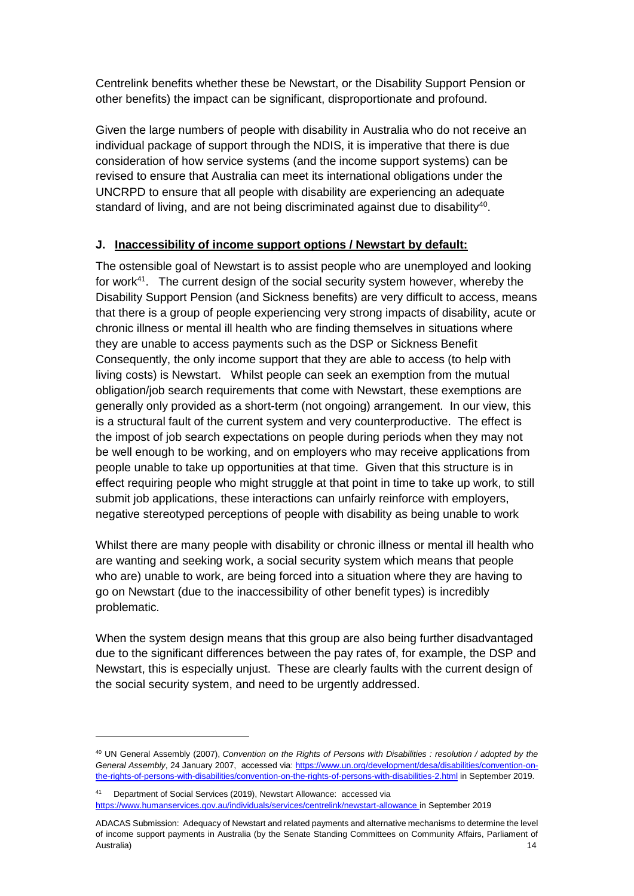Centrelink benefits whether these be Newstart, or the Disability Support Pension or other benefits) the impact can be significant, disproportionate and profound.

Given the large numbers of people with disability in Australia who do not receive an individual package of support through the NDIS, it is imperative that there is due consideration of how service systems (and the income support systems) can be revised to ensure that Australia can meet its international obligations under the UNCRPD to ensure that all people with disability are experiencing an adequate standard of living, and are not being discriminated against due to disability $40$ .

#### **J. Inaccessibility of income support options / Newstart by default:**

The ostensible goal of Newstart is to assist people who are unemployed and looking for work<sup>41</sup>. The current design of the social security system however, whereby the Disability Support Pension (and Sickness benefits) are very difficult to access, means that there is a group of people experiencing very strong impacts of disability, acute or chronic illness or mental ill health who are finding themselves in situations where they are unable to access payments such as the DSP or Sickness Benefit Consequently, the only income support that they are able to access (to help with living costs) is Newstart. Whilst people can seek an exemption from the mutual obligation/job search requirements that come with Newstart, these exemptions are generally only provided as a short-term (not ongoing) arrangement. In our view, this is a structural fault of the current system and very counterproductive. The effect is the impost of job search expectations on people during periods when they may not be well enough to be working, and on employers who may receive applications from people unable to take up opportunities at that time. Given that this structure is in effect requiring people who might struggle at that point in time to take up work, to still submit job applications, these interactions can unfairly reinforce with employers, negative stereotyped perceptions of people with disability as being unable to work

Whilst there are many people with disability or chronic illness or mental ill health who are wanting and seeking work, a social security system which means that people who are) unable to work, are being forced into a situation where they are having to go on Newstart (due to the inaccessibility of other benefit types) is incredibly problematic.

When the system design means that this group are also being further disadvantaged due to the significant differences between the pay rates of, for example, the DSP and Newstart, this is especially unjust. These are clearly faults with the current design of the social security system, and need to be urgently addressed.

<sup>40</sup> UN General Assembly (2007), *Convention on the Rights of Persons with Disabilities : resolution / adopted by the General Assembly*, 24 January 2007, accessed via: [https://www.un.org/development/desa/disabilities/convention-on](https://www.un.org/development/desa/disabilities/convention-on-the-rights-of-persons-with-disabilities/convention-on-the-rights-of-persons-with-disabilities-2.html)[the-rights-of-persons-with-disabilities/convention-on-the-rights-of-persons-with-disabilities-2.html](https://www.un.org/development/desa/disabilities/convention-on-the-rights-of-persons-with-disabilities/convention-on-the-rights-of-persons-with-disabilities-2.html) in September 2019.

<sup>&</sup>lt;sup>41</sup> Department of Social Services (2019), Newstart Allowance: accessed via <https://www.humanservices.gov.au/individuals/services/centrelink/newstart-allowance> in September 2019

ADACAS Submission: Adequacy of Newstart and related payments and alternative mechanisms to determine the level of income support payments in Australia (by the Senate Standing Committees on Community Affairs, Parliament of Australia) 14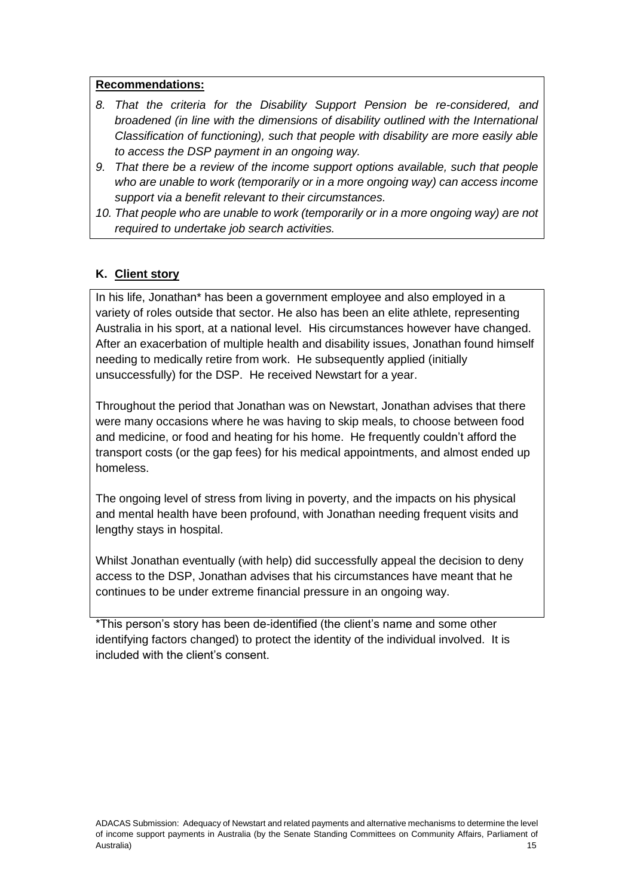#### **Recommendations:**

- *8. That the criteria for the Disability Support Pension be re-considered, and broadened (in line with the dimensions of disability outlined with the International Classification of functioning), such that people with disability are more easily able to access the DSP payment in an ongoing way.*
- *9. That there be a review of the income support options available, such that people who are unable to work (temporarily or in a more ongoing way) can access income support via a benefit relevant to their circumstances.*
- *10. That people who are unable to work (temporarily or in a more ongoing way) are not required to undertake job search activities.*

#### **K. Client story**

In his life, Jonathan\* has been a government employee and also employed in a variety of roles outside that sector. He also has been an elite athlete, representing Australia in his sport, at a national level. His circumstances however have changed. After an exacerbation of multiple health and disability issues, Jonathan found himself needing to medically retire from work. He subsequently applied (initially unsuccessfully) for the DSP. He received Newstart for a year.

Throughout the period that Jonathan was on Newstart, Jonathan advises that there were many occasions where he was having to skip meals, to choose between food and medicine, or food and heating for his home. He frequently couldn't afford the transport costs (or the gap fees) for his medical appointments, and almost ended up homeless.

The ongoing level of stress from living in poverty, and the impacts on his physical and mental health have been profound, with Jonathan needing frequent visits and lengthy stays in hospital.

Whilst Jonathan eventually (with help) did successfully appeal the decision to deny access to the DSP, Jonathan advises that his circumstances have meant that he continues to be under extreme financial pressure in an ongoing way.

<span id="page-14-0"></span>\*This person's story has been de-identified (the client's name and some other identifying factors changed) to protect the identity of the individual involved. It is included with the client's consent.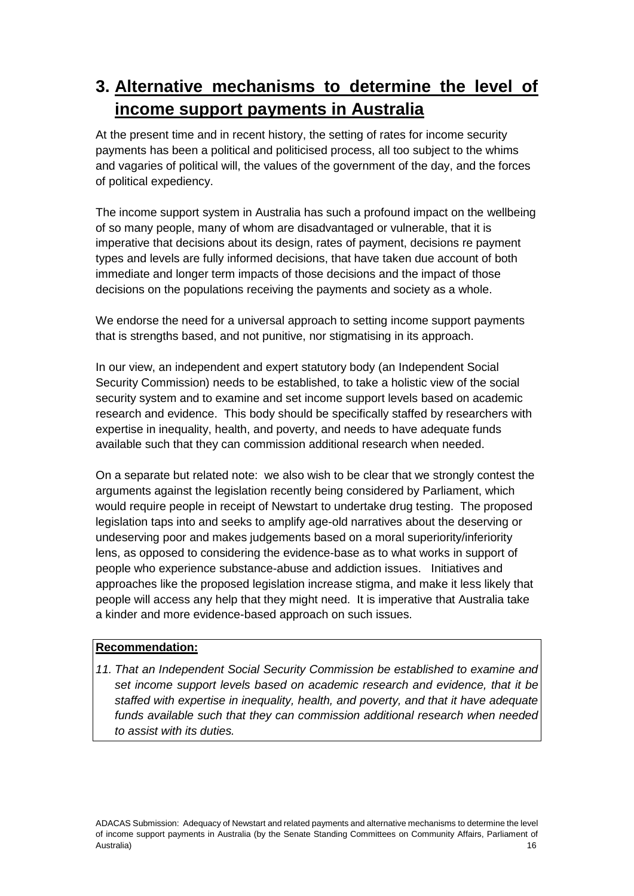# **3. Alternative mechanisms to determine the level of income support payments in Australia**

At the present time and in recent history, the setting of rates for income security payments has been a political and politicised process, all too subject to the whims and vagaries of political will, the values of the government of the day, and the forces of political expediency.

The income support system in Australia has such a profound impact on the wellbeing of so many people, many of whom are disadvantaged or vulnerable, that it is imperative that decisions about its design, rates of payment, decisions re payment types and levels are fully informed decisions, that have taken due account of both immediate and longer term impacts of those decisions and the impact of those decisions on the populations receiving the payments and society as a whole.

We endorse the need for a universal approach to setting income support payments that is strengths based, and not punitive, nor stigmatising in its approach.

In our view, an independent and expert statutory body (an Independent Social Security Commission) needs to be established, to take a holistic view of the social security system and to examine and set income support levels based on academic research and evidence. This body should be specifically staffed by researchers with expertise in inequality, health, and poverty, and needs to have adequate funds available such that they can commission additional research when needed.

On a separate but related note: we also wish to be clear that we strongly contest the arguments against the legislation recently being considered by Parliament, which would require people in receipt of Newstart to undertake drug testing. The proposed legislation taps into and seeks to amplify age-old narratives about the deserving or undeserving poor and makes judgements based on a moral superiority/inferiority lens, as opposed to considering the evidence-base as to what works in support of people who experience substance-abuse and addiction issues. Initiatives and approaches like the proposed legislation increase stigma, and make it less likely that people will access any help that they might need. It is imperative that Australia take a kinder and more evidence-based approach on such issues.

#### **Recommendation:**

11. That an Independent Social Security Commission be established to examine and *set income support levels based on academic research and evidence, that it be staffed with expertise in inequality, health, and poverty, and that it have adequate funds available such that they can commission additional research when needed to assist with its duties.*